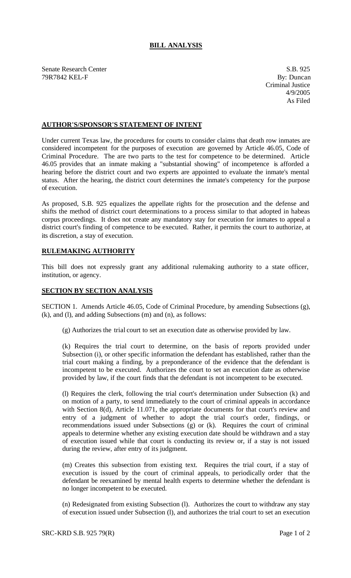## **BILL ANALYSIS**

Senate Research Center S.B. 925 79R7842 KEL-F By: Duncan

Criminal Justice 4/9/2005 As Filed

## **AUTHOR'S/SPONSOR'S STATEMENT OF INTENT**

Under current Texas law, the procedures for courts to consider claims that death row inmates are considered incompetent for the purposes of execution are governed by Article 46.05, Code of Criminal Procedure. The are two parts to the test for competence to be determined. Article 46.05 provides that an inmate making a "substantial showing" of incompetence is afforded a hearing before the district court and two experts are appointed to evaluate the inmate's mental status. After the hearing, the district court determines the inmate's competency for the purpose of execution.

As proposed, S.B. 925 equalizes the appellate rights for the prosecution and the defense and shifts the method of district court determinations to a process similar to that adopted in habeas corpus proceedings. It does not create any mandatory stay for execution for inmates to appeal a district court's finding of competence to be executed. Rather, it permits the court to authorize, at its discretion, a stay of execution.

## **RULEMAKING AUTHORITY**

This bill does not expressly grant any additional rulemaking authority to a state officer, institution, or agency.

## **SECTION BY SECTION ANALYSIS**

SECTION 1. Amends Article 46.05, Code of Criminal Procedure, by amending Subsections (g), (k), and (l), and adding Subsections (m) and (n), as follows:

(g) Authorizes the trial court to set an execution date as otherwise provided by law.

(k) Requires the trial court to determine, on the basis of reports provided under Subsection (i), or other specific information the defendant has established, rather than the trial court making a finding, by a preponderance of the evidence that the defendant is incompetent to be executed. Authorizes the court to set an execution date as otherwise provided by law, if the court finds that the defendant is not incompetent to be executed.

(l) Requires the clerk, following the trial court's determination under Subsection (k) and on motion of a party, to send immediately to the court of criminal appeals in accordance with Section 8(d), Article 11.071, the appropriate documents for that court's review and entry of a judgment of whether to adopt the trial court's order, findings, or recommendations issued under Subsections (g) or (k). Requires the court of criminal appeals to determine whether any existing execution date should be withdrawn and a stay of execution issued while that court is conducting its review or, if a stay is not issued during the review, after entry of its judgment.

(m) Creates this subsection from existing text. Requires the trial court, if a stay of execution is issued by the court of criminal appeals, to periodically order that the defendant be reexamined by mental health experts to determine whether the defendant is no longer incompetent to be executed.

(n) Redesignated from existing Subsection (l). Authorizes the court to withdraw any stay of execution issued under Subsection (l), and authorizes the trial court to set an execution